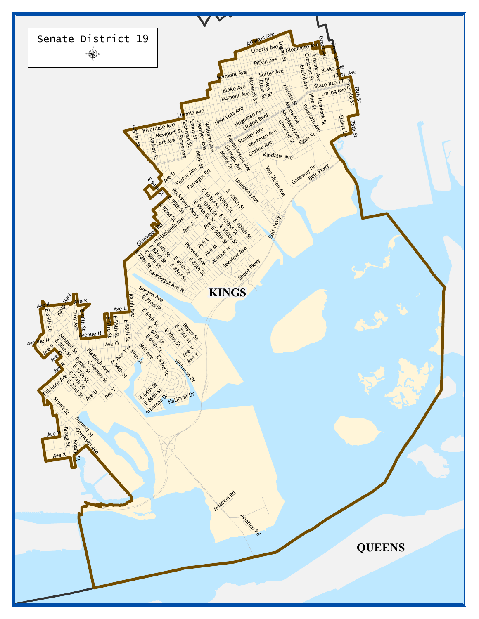